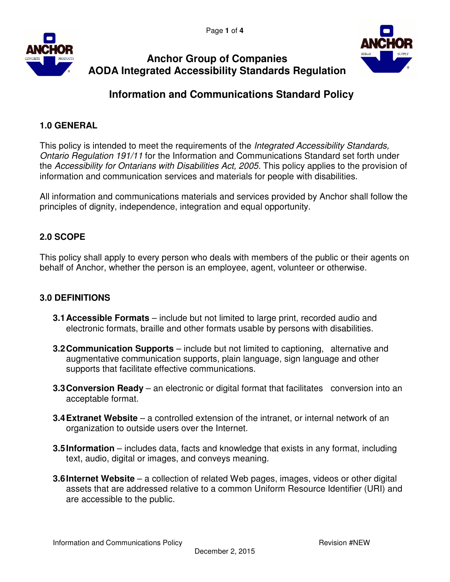



# **Anchor Group of Companies AODA Integrated Accessibility Standards Regulation**

# **Information and Communications Standard Policy**

# **1.0 GENERAL**

This policy is intended to meet the requirements of the Integrated Accessibility Standards, Ontario Regulation 191/11 for the Information and Communications Standard set forth under the Accessibility for Ontarians with Disabilities Act, 2005. This policy applies to the provision of information and communication services and materials for people with disabilities.

All information and communications materials and services provided by Anchor shall follow the principles of dignity, independence, integration and equal opportunity.

## **2.0 SCOPE**

This policy shall apply to every person who deals with members of the public or their agents on behalf of Anchor, whether the person is an employee, agent, volunteer or otherwise.

## **3.0 DEFINITIONS**

- **3.1 Accessible Formats**  include but not limited to large print, recorded audio and electronic formats, braille and other formats usable by persons with disabilities.
- **3.2 Communication Supports**  include but not limited to captioning, alternative and augmentative communication supports, plain language, sign language and other supports that facilitate effective communications.
- **3.3 Conversion Ready** an electronic or digital format that facilitates conversion into an acceptable format.
- **3.4 Extranet Website** a controlled extension of the intranet, or internal network of an organization to outside users over the Internet.
- **3.5 Information** includes data, facts and knowledge that exists in any format, including text, audio, digital or images, and conveys meaning.
- **3.6 Internet Website** a collection of related Web pages, images, videos or other digital assets that are addressed relative to a common Uniform Resource Identifier (URI) and are accessible to the public.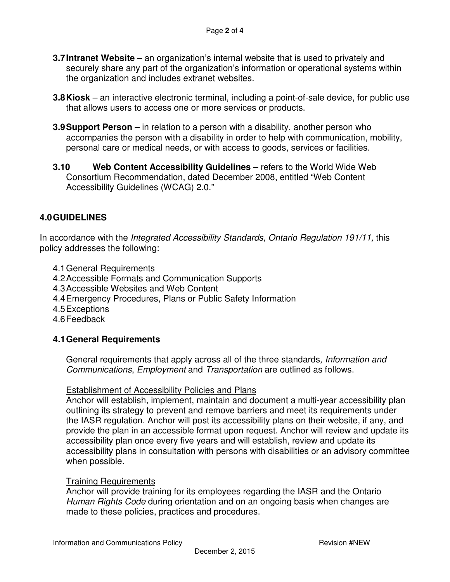- **3.7 Intranet Website** an organization's internal website that is used to privately and securely share any part of the organization's information or operational systems within the organization and includes extranet websites.
- **3.8 Kiosk**  an interactive electronic terminal, including a point-of-sale device, for public use that allows users to access one or more services or products.
- **3.9 Support Person** in relation to a person with a disability, another person who accompanies the person with a disability in order to help with communication, mobility, personal care or medical needs, or with access to goods, services or facilities.
- **3.10 Web Content Accessibility Guidelines** refers to the World Wide Web Consortium Recommendation, dated December 2008, entitled "Web Content Accessibility Guidelines (WCAG) 2.0."

## **4.0 GUIDELINES**

In accordance with the Integrated Accessibility Standards, Ontario Regulation 191/11, this policy addresses the following:

- 4.1 General Requirements
- 4.2 Accessible Formats and Communication Supports
- 4.3 Accessible Websites and Web Content
- 4.4 Emergency Procedures, Plans or Public Safety Information
- 4.5 Exceptions
- 4.6 Feedback

#### **4.1 General Requirements**

General requirements that apply across all of the three standards, Information and Communications, Employment and Transportation are outlined as follows.

#### Establishment of Accessibility Policies and Plans

Anchor will establish, implement, maintain and document a multi-year accessibility plan outlining its strategy to prevent and remove barriers and meet its requirements under the IASR regulation. Anchor will post its accessibility plans on their website, if any, and provide the plan in an accessible format upon request. Anchor will review and update its accessibility plan once every five years and will establish, review and update its accessibility plans in consultation with persons with disabilities or an advisory committee when possible.

#### Training Requirements

Anchor will provide training for its employees regarding the IASR and the Ontario Human Rights Code during orientation and on an ongoing basis when changes are made to these policies, practices and procedures.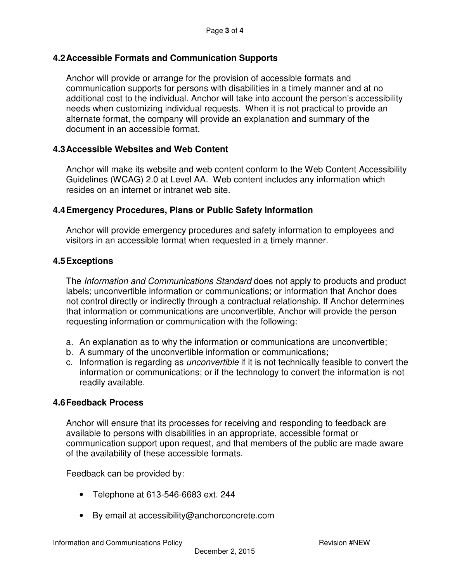#### **4.2 Accessible Formats and Communication Supports**

Anchor will provide or arrange for the provision of accessible formats and communication supports for persons with disabilities in a timely manner and at no additional cost to the individual. Anchor will take into account the person's accessibility needs when customizing individual requests. When it is not practical to provide an alternate format, the company will provide an explanation and summary of the document in an accessible format.

#### **4.3 Accessible Websites and Web Content**

Anchor will make its website and web content conform to the Web Content Accessibility Guidelines (WCAG) 2.0 at Level AA. Web content includes any information which resides on an internet or intranet web site.

#### **4.4 Emergency Procedures, Plans or Public Safety Information**

Anchor will provide emergency procedures and safety information to employees and visitors in an accessible format when requested in a timely manner.

#### **4.5 Exceptions**

The Information and Communications Standard does not apply to products and product labels; unconvertible information or communications; or information that Anchor does not control directly or indirectly through a contractual relationship. If Anchor determines that information or communications are unconvertible, Anchor will provide the person requesting information or communication with the following:

- a. An explanation as to why the information or communications are unconvertible;
- b. A summary of the unconvertible information or communications;
- c. Information is regarding as unconvertible if it is not technically feasible to convert the information or communications; or if the technology to convert the information is not readily available.

#### **4.6 Feedback Process**

Anchor will ensure that its processes for receiving and responding to feedback are available to persons with disabilities in an appropriate, accessible format or communication support upon request, and that members of the public are made aware of the availability of these accessible formats.

Feedback can be provided by:

- Telephone at 613-546-6683 ext. 244
- By email at accessibility@anchorconcrete.com